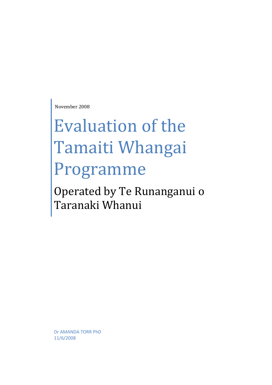November 2008

# Evaluation of the Tamaiti Whangai Programme

Operated by Te Runanganui o Taranaki Whanui

Dr AMANDA TORR PhD 11/6/2008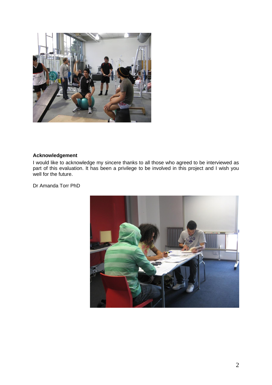

#### <span id="page-1-0"></span>**Acknowledgement**

I would like to acknowledge my sincere thanks to all those who agreed to be interviewed as part of this evaluation. It has been a privilege to be involved in this project and I wish you well for the future.

Dr Amanda Torr PhD

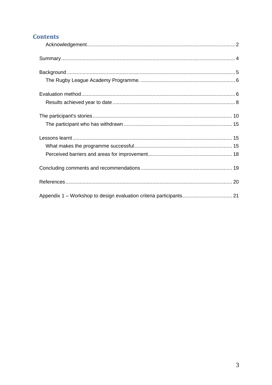# **Contents**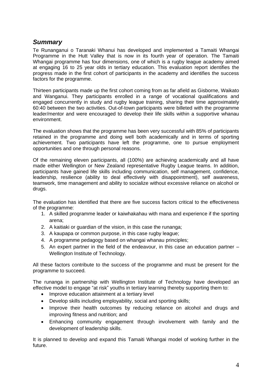# <span id="page-3-0"></span>*Summary*

Te Runanganui o Taranaki Whanui has developed and implemented a Tamaiti Whangai Programme in the Hutt Valley that is now in its fourth year of operation. The Tamaiti Whangai programme has four dimensions, one of which is a rugby league academy aimed at engaging 16 to 25 year olds in tertiary education. This evaluation report identifies the progress made in the first cohort of participants in the academy and identifies the success factors for the programme.

Thirteen participants made up the first cohort coming from as far afield as Gisborne, Waikato and Wanganui. They participants enrolled in a range of vocational qualifications and engaged concurrently in study and rugby league training, sharing their time approximately 60:40 between the two activities. Out-of-town participants were billeted with the programme leader/mentor and were encouraged to develop their life skills within a supportive whanau environment.

The evaluation shows that the programme has been very successful with 85% of participants retained in the programme and doing well both academically and in terms of sporting achievement. Two participants have left the programme, one to pursue employment opportunities and one through personal reasons.

Of the remaining eleven participants, all (100%) are achieving academically and all have made either Wellington or New Zealand representative Rugby League teams. In addition, participants have gained life skills including communication, self management, confidence, leadership, resilience (ability to deal effectively with disappointment), self awareness, teamwork, time management and ability to socialize without excessive reliance on alcohol or drugs.

The evaluation has identified that there are five success factors critical to the effectiveness of the programme:

- 1. A skilled programme leader or kaiwhakahau with mana and experience if the sporting arena;
- 2. A kaitiaki or guardian of the vision, in this case the runanga;
- 3. A kaupapa or common purpose, in this case rugby league;
- 4. A programme pedagogy based on whangai whanau principles;
- 5. An expert partner in the field of the endeavour, in this case an education partner Wellington Institute of Technology.

All these factors contribute to the success of the programme and must be present for the programme to succeed.

The runanga in partnership with Wellington Institute of Technology have developed an effective model to engage "at risk" youths in tertiary learning thereby supporting them to:

- Improve education attainment at a tertiary level
- Develop skills including employability, social and sporting skills;
- Improve their health outcomes by reducing reliance on alcohol and drugs and improving fitness and nutrition; and
- Enhancing community engagement through involvement with family and the development of leadership skills.

It is planned to develop and expand this Tamaiti Whangai model of working further in the future.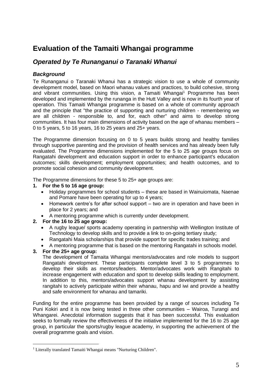# **Evaluation of the Tamaiti Whangai programme**

# *Operated by Te Runanganui o Taranaki Whanui*

### <span id="page-4-0"></span>*Background*

Te Runanganui o Taranaki Whanui has a strategic vision to use a whole of community development model, based on Maori whanau values and practices, to build cohesive, strong and vibrant communities. Using this vision, a Tamaiti Whangai<sup>1</sup> Programme has been developed and implemented by the runanga in the Hutt Valley and is now in its fourth year of operation. This Tamaiti Whangai programme is based on a whole of community approach and the principle that "the practice of supporting and nurturing children - remembering we are all children - responsible to, and for, each other" and aims to develop strong communities. It has four main dimensions of activity based on the age of whanau members – 0 to 5 years, 5 to 16 years, 16 to 25 years and 25+ years.

The Programme dimension focusing on 0 to 5 years builds strong and healthy families through supportive parenting and the provision of health services and has already been fully evaluated. The Programme dimensions implemented for the 5 to 25 age groups focus on Rangatahi development and education support in order to enhance participant's education outcomes; skills development; employment opportunities; and health outcomes, and to promote social cohesion and community development.

The Programme dimensions for these 5 to 25+ age groups are:

- **1. For the 5 to 16 age group:**
	- Holiday programmes for school students these are based in Wainuiomata, Naenae and Pomare have been operating for up to 4 years;
	- Homework centre's for after school support two are in operation and have been in place for 2 years; and
	- A mentoring programme which is currently under development.
- **2. For the 16 to 25 age group:**
	- A rugby league/ sports academy operating in partnership with Wellington Institute of Technology to develop skills and to provide a link to on-going tertiary study;
	- Rangatahi Maia scholarships that provide support for specific trades training; and
	- A mentoring programme that is based on the mentoring Rangatahi in schools model.

#### **3. For the 25+ age group:**

The development of Tamaita Whangai mentors/advocates and role models to support Rangatahi development. These participants complete level 3 to 5 programmes to develop their skills as mentors/leaders. Mentor/advocates work with Rangitahi to increase engagement with education and sport to develop skills leading to employment. In addition to this, mentors/advocates support whanau development by assisting rangitahi to actively participate within their whanau, hapu and iwi and provide a healthy and safe environment for whanau and tamariki.

Funding for the entire programme has been provided by a range of sources including Te Puni Kokiri and it is now being tested in three other communities – Wairoa, Turangi and Whangarei. Anecdotal information suggests that it has been successful. This evaluation seeks to formally review the effectiveness of the initiative implemented for the 16 to 25 age group, in particular the sports/rugby league academy, in supporting the achievement of the overall programme goals and vision.

<sup>&</sup>lt;sup>1</sup> Literally translated Tamaiti Whangai means "Nurturing Children".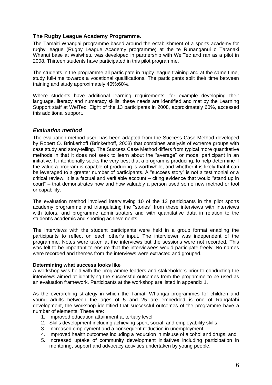#### <span id="page-5-0"></span>**The Rugby League Academy Programme.**

The Tamaiti Whangai programme based around the establishment of a sports academy for rugby league (Rugby League Academy programme) at the te Runanganui o Taranaki Whanui base at Waiwhetu was developed in partnership with WelTec and ran as a pilot in 2008. Thirteen students have participated in this pilot programme.

The students in the programme all participate in rugby league training and at the same time, study full-time towards a vocational qualifications. The participants split their time between training and study approximately 40%:60%.

Where students have additional learning requirements, for example developing their language, literacy and numeracy skills, these needs are identified and met by the Learning Support staff at WelTec. Eight of the 13 participants in 2008, approximately 60%, accessed this additional support.

#### <span id="page-5-1"></span>*Evaluation method*

The evaluation method used has been adapted from the Success Case Method developed by Robert O. Brinkerhoff (Brinkerhoff, 2003) that combines analysis of extreme groups with case study and story-telling. The Success Case Method differs from typical more quantitative methods in that it does not seek to learn about the "average" or modal participant in an initiative, It intentionally seeks the very best that a program is producing, to help determine if the value a program is capable of producing is worthwhile, and whether it is likely that it can be leveraged to a greater number of participants. A "success story" is not a testimonial or a critical review. It is a factual and verifiable account – citing evidence that would "stand up in court" – that demonstrates how and how valuably a person used some new method or tool or capability.

The evaluation method involved interviewing 10 of the 13 participants in the pilot sports academy programme and triangulating the "stories" from these interviews with interviews with tutors, and programme administrators and with quantitative data in relation to the student's academic and sporting achievements.

The interviews with the student participants were held in a group format enabling the participants to reflect on each other's input. The interviewer was independent of the programme. Notes were taken at the interviews but the sessions were not recorded. This was felt to be important to ensure that the interviewees would participate freely. No names were recorded and themes from the interviews were extracted and grouped.

#### **Determining what success looks like**

A workshop was held with the programme leaders and stakeholders prior to conducting the interviews aimed at identifying the successful outcomes from the progamme to be used as an evaluation framework. Participants at the workshop are listed in appendix 1.

As the overarching strategy in which the Tamati Whangai programmes for children and young adults between the ages of 5 and 25 are embedded is one of Rangatahi development, the workshop identified that successful outcomes of the programme have a number of elements. These are:

- 1. Improved education attainment at tertiary level;
- 2. Skills development including achieving sport, social and employability skills;
- 3. Increased employment and a consequent reduction in unemployment;
- 4. Improved health outcomes including a reduction in misuse of alcohol and drugs; and
- 5. Increased uptake of community development initiatives including participation in mentoring, support and advocacy activities undertaken by young people.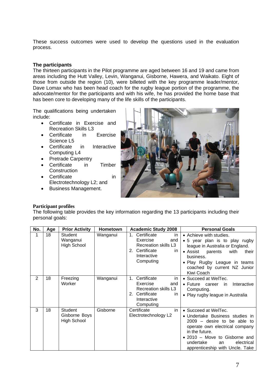These success outcomes were used to develop the questions used in the evaluation process.

#### **The participants**

The thirteen participants in the Pilot programme are aged between 16 and 19 and came from areas including the Hutt Valley, Levin, Wanganui, Gisborne, Hawera, and Waikato. Eight of those from outside the region (10), were billeted with the key programme leader/mentor, Dave Lomax who has been head coach for the rugby league portion of the programme, the advocate/mentor for the participants and with his wife, he has provided the home base that has been core to developing many of the life skills of the participants.

The qualifications being undertaken include:

- Certificate in Exercise and Recreation Skills L3
- Certificate in Exercise Science L5
- Certificate in Interactive Computing L4
- Pretrade Carpentry
- Certificate in Timber **Construction**
- Certificate in Electrotechnology L2; and
- Business Management.



#### **Participant profiles**

The following table provides the key information regarding the 13 participants including their personal goals:

| No.            | Age | <b>Prior Activity</b>                          | Hometown | <b>Academic Study 2008</b>                                                                                               | <b>Personal Goals</b>                                                                                                                                                                                                                             |
|----------------|-----|------------------------------------------------|----------|--------------------------------------------------------------------------------------------------------------------------|---------------------------------------------------------------------------------------------------------------------------------------------------------------------------------------------------------------------------------------------------|
| 1              | 18  | Student<br>Wanganui<br><b>High School</b>      | Wanganui | 1.<br>Certificate<br>in.<br>Exercise<br>and<br>Recreation skills L3<br>2. Certificate<br>in.<br>Interactive<br>Computing | • Achieve with studies.<br>• 5 year plan is to play rugby<br>league in Australia or England.<br>• Assist parents<br>with<br>their<br>business.<br>• Play Rugby League in teams<br>coached by current NZ Junior<br>Kiwi Coach                      |
| $\overline{2}$ | 18  | Freezing<br>Worker                             | Wanganui | Certificate<br>1.<br>in.<br>Exercise<br>and<br>Recreation skills L3<br>2. Certificate<br>in.<br>Interactive<br>Computing | • Succeed at WelTec.<br>Interactive<br>• Future career<br>in.<br>Computing.<br>• Play rugby league in Australia                                                                                                                                   |
| 3              | 18  | Student<br>Gisborne Boys<br><b>High School</b> | Gisborne | in<br>Certificate<br>Electrotechnology L2                                                                                | • Succeed at WelTec.<br>• Undertake Business studies in<br>$2009 -$ desire to be able to<br>operate own electrical company<br>in the future.<br>• 2010 – Move to Gisborne and<br>undertake<br>electrical<br>an<br>apprenticeship with Uncle. Take |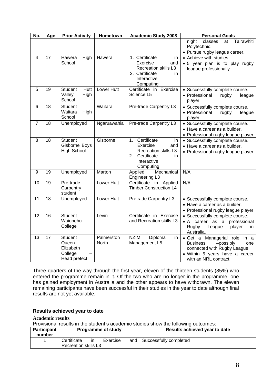| No.             | Age             | <b>Prior Activity</b>                                           | Hometown                   | <b>Academic Study 2008</b>                                                                                                          | <b>Personal Goals</b>                                                                                                                                             |
|-----------------|-----------------|-----------------------------------------------------------------|----------------------------|-------------------------------------------------------------------------------------------------------------------------------------|-------------------------------------------------------------------------------------------------------------------------------------------------------------------|
|                 |                 |                                                                 |                            |                                                                                                                                     | Tairawhiti<br>night<br>classes<br>at<br>Polytechnic.<br>• Pursue rugby league career.                                                                             |
| 4               | 17              | Hawera<br>High<br>School                                        | Hawera                     | 1. Certificate<br>in.<br>Exercise<br>and<br>Recreation skills L3<br>2. Certificate<br>in.<br>Interactive<br>Computing               | • Achieve with studies.<br>· 5 year plan is to play rugby<br>league professionally                                                                                |
| 5               | 19              | <b>Student</b><br>Hutt<br>Valley<br>High<br>School              | Lower Hutt                 | Certificate in Exercise<br>Science L5                                                                                               | • Successfully complete course.<br>• Professional<br>rugby<br>league<br>player.                                                                                   |
| 6               | 18              | <b>Student</b><br>Waitara<br>High<br>School                     | Waitara                    | Pre-trade Carpentry L3                                                                                                              | • Successfully complete course.<br>• Professional<br>rugby<br>league<br>player.                                                                                   |
| $\overline{7}$  | $\overline{18}$ | Unemployed                                                      | Ngaruawahia                | Pre-trade Carpentry L3                                                                                                              | • Successfully complete course.<br>• Have a career as a builder.<br>• Professional rugby league player                                                            |
| 8               | 18              | Student<br>Gisborne Boys<br><b>High School</b>                  | Gisborne                   | Certificate<br>$1_{\cdot}$<br>in<br>Exercise<br>and<br>Recreation skills L3<br>Certificate<br>2.<br>in.<br>Interactive<br>Computing | • Successfully complete course.<br>• Have a career as a builder.<br>• Professional rugby league player                                                            |
| 9               | 19              | Unemployed                                                      | Marton                     | Mechanical<br>Applied<br>Engineering L3                                                                                             | N/A                                                                                                                                                               |
| 10              | 19              | Pre-trade<br>Carpentry<br>student                               | Lower Hutt                 | Certificate<br>in<br>Applied<br><b>Timber Construction L4</b>                                                                       | N/A                                                                                                                                                               |
| 11              | 18              | Unemployed                                                      | Lower Hutt                 | Pretrade Carpentry L3                                                                                                               | • Successfully complete course.<br>• Have a career as a builder.<br>• Professional rugby league player                                                            |
| $\overline{12}$ | $\overline{16}$ | Student<br>Waiopehu<br>College                                  | Levin                      | Certificate in Exercise<br>and Recreation skills L3                                                                                 | • Successfully complete course.<br>• A career as a professional<br>Rugby<br>League<br>player<br>in.<br>Australia.                                                 |
| 13              | 17              | <b>Student</b><br>Queen<br>Elizabeth<br>College<br>Head prefect | Palmerston<br><b>North</b> | <b>NZIM</b><br>Diploma<br>in.<br>Management L5                                                                                      | · Get a Managerial role<br>in a<br><b>Business</b><br>-possibly<br>one<br>connected with Rugby League.<br>· Within 5 years have a career<br>with an NRL contract. |

Three quarters of the way through the first year, eleven of the thirteen students (85%) who entered the programme remain in it. Of the two who are no longer in the programme, one has gained employment in Australia and the other appears to have withdrawn. The eleven remaining participants have been successful in their studies in the year to date although final results are not yet available.

#### <span id="page-7-0"></span>**Results achieved year to date**

#### **Academic results**

Provisional results in the student's academic studies show the following outcomes:

| <b>Participant</b><br>number | <b>Programme of study</b>           |    |          | Results achieved year to date |                        |
|------------------------------|-------------------------------------|----|----------|-------------------------------|------------------------|
|                              | Certificate<br>Recreation skills L3 | ın | Exercise | and l                         | Successfully completed |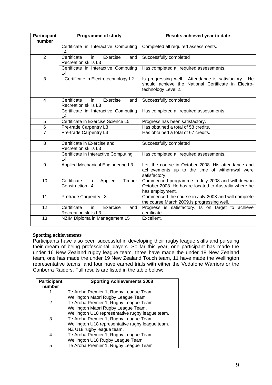| <b>Participant</b><br>number | <b>Programme of study</b>                                            | Results achieved year to date                                                                                                     |
|------------------------------|----------------------------------------------------------------------|-----------------------------------------------------------------------------------------------------------------------------------|
|                              | Certificate in Interactive Computing<br>L4                           | Completed all required assessments.                                                                                               |
| $\overline{2}$               | Certificate<br>Exercise<br>in.<br>and<br><b>Recreation skills L3</b> | Successfully completed                                                                                                            |
|                              | Certificate in Interactive Computing<br>L4                           | Has completed all required assessments.                                                                                           |
| 3                            | Certificate in Electrotechnology L2                                  | Is progressing well. Attendance is satisfactory. He<br>should achieve the National Certificate in Electro-<br>technology Level 2. |
| $\overline{4}$               | Certificate<br>in.<br>Exercise<br>and<br><b>Recreation skills L3</b> | Successfully completed                                                                                                            |
|                              | Certificate in Interactive Computing<br>L4                           | Has completed all required assessments.                                                                                           |
| 5                            | Certificate in Exercise Science L5                                   | Progress has been satisfactory.                                                                                                   |
| $\overline{6}$               | Pre-trade Carpentry L3                                               | Has obtained a total of 58 credits.                                                                                               |
| $\overline{7}$               | Pre-trade Carpentry L3                                               | Has obtained a total of 67 credits.                                                                                               |
| 8                            | Certificate in Exercise and<br><b>Recreation skills L3</b>           | Successfully completed                                                                                                            |
|                              | Certificate in Interactive Computing<br>L4                           | Has completed all required assessments.                                                                                           |
| 9                            | Applied Mechanical Engineering L3                                    | Left the course in October 2008. His attendance and<br>achievements up to the time of withdrawal were<br>satisfactory.            |
| 10                           | Certificate<br>Timber<br>Applied<br>in<br><b>Construction L4</b>     | Commenced programme in July 2008 and withdrew in<br>October 2008. He has re-located to Australia where he<br>has employment.      |
| 11                           | Pretrade Carpentry L3                                                | Commenced the course in July 2008 and will complete<br>the course March 2009.Is progressing well.                                 |
| 12                           | Certificate<br>in<br>Exercise<br>and<br>Recreation skills L3         | Progress is satisfactory. Is on target to achieve<br>certificate.                                                                 |
| 13                           | NZIM Diploma in Management L5                                        | Excellent.                                                                                                                        |

#### **Sporting achievements**

Participants have also been successful in developing their rugby league skills and pursuing their dream of being professional players. So far this year, one participant has made the under 16 New Zealand rugby league team, three have made the under 18 New Zealand team, one has made the under 19 New Zealand Touch team, 11 have made the Wellington representative teams, and four have earned trials with either the Vodafone Warriors or the Canberra Raiders. Full results are listed in the table below:

| <b>Participant</b><br>number | <b>Sporting Achievements 2008</b>                |
|------------------------------|--------------------------------------------------|
|                              | Te Aroha Premier 1, Rugby League Team            |
|                              | Wellington Maori Rugby League Team               |
| 2                            | Te Aroha Premier 1, Rugby League Team            |
|                              | Wellington Maori Rugby League Team.              |
|                              | Wellington U18 representative rugby league team. |
| 3                            | Te Aroha Premier 1, Rugby League Team            |
|                              | Wellington U18 representative rugby league team. |
|                              | NZ U18 rugby league team.                        |
| 4                            | Te Aroha Premier 1, Rugby League Team            |
|                              | Wellington U18 Rugby League Team.                |
| 5                            | Te Aroha Premier 1, Rugby League Team            |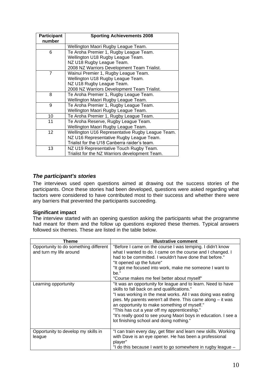| <b>Participant</b> | <b>Sporting Achievements 2008</b>                |
|--------------------|--------------------------------------------------|
| number             |                                                  |
|                    | Wellington Maori Rugby League Team.              |
| 6                  | Te Aroha Premier 1, Rugby League Team.           |
|                    | Wellington U18 Rugby League Team.                |
|                    | NZ U18 Rugby League Team.                        |
|                    | 2008 NZ Warriors Development Team Trialist.      |
| $\overline{7}$     | Wainui Premier 1, Rugby League Team.             |
|                    | Wellington U18 Rugby League Team.                |
|                    | NZ U18 Rugby League Team.                        |
|                    | 2008 NZ Warriors Development Team Trialist.      |
| 8                  | Te Aroha Premier 1, Rugby League Team.           |
|                    | Wellington Maori Rugby League Team.              |
| 9                  | Te Aroha Premier 1, Rugby League Team.           |
|                    | Wellington Maori Rugby League Team.              |
| 10                 | Te Aroha Premier 1, Rugby League Team.           |
| 11                 | Te Aroha Reserve, Rugby League Team.             |
|                    | Wellington Maori Rugby League Team.              |
| 12                 | Wellington U16 Representative Rugby League Team. |
|                    | NZ U16 Representative Rugby League Team.         |
|                    | Trialist for the U18 Canberra raider's team.     |
| 13                 | NZ U19 Representative Touch Rugby Team.          |
|                    | Trialist for the NZ Warriors development Team.   |

#### <span id="page-9-0"></span>*The participant's stories*

The interviews used open questions aimed at drawing out the success stories of the participants. Once these stories had been developed, questions were asked regarding what factors were considered to have contributed most to their success and whether there were any barriers that prevented the participants succeeding.

#### **Significant impact**

The interview started with an opening question asking the participants what the programme had meant for them and the follow up questions explored these themes. Typical answers followed six themes. These are listed in the table below.

| Theme                                                            | <b>Illustrative comment</b>                                                                                                                                                                                                                                                                                                                                                                                                                                |
|------------------------------------------------------------------|------------------------------------------------------------------------------------------------------------------------------------------------------------------------------------------------------------------------------------------------------------------------------------------------------------------------------------------------------------------------------------------------------------------------------------------------------------|
| Opportunity to do something different<br>and turn my life around | "Before I came on the course I was temping. I didn't know<br>what I wanted to do. I came on the course and I changed. I<br>had to be committed. I wouldn't have done that before."<br>"It opened up the future"<br>"It got me focused into work, make me someone I want to<br>be."<br>"Course makes me feel better about myself"                                                                                                                           |
| Learning opportunity                                             | "It was an opportunity for league and to learn. Need to have<br>skills to fall back on and qualifications."<br>"I was working in the meat works. All I was doing was eating<br>pies. My parents weren't all there. This came along - it was<br>an opportunity to make something of myself."<br>"This has cut a year off my apprenticeship."<br>"It's really good to see young Maori boys in education. I see a<br>lot finishing school and doing nothing." |
| Opportunity to develop my skills in<br>league                    | "I can train every day, get fitter and learn new skills. Working<br>with Dave is an eye opener. He has been a professional<br>player"<br>"I do this because I want to go somewhere in rugby league -                                                                                                                                                                                                                                                       |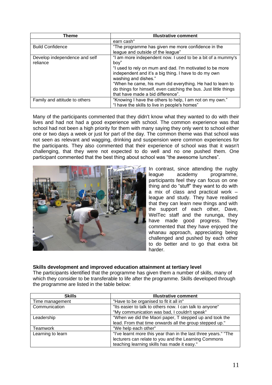| Theme                         | <b>Illustrative comment</b>                                      |
|-------------------------------|------------------------------------------------------------------|
|                               | earn cash"                                                       |
| <b>Build Confidence</b>       | "The programme has given me more confidence in the               |
|                               | league and outside of the league"                                |
| Develop independence and self | "I am more independent now. I used to be a bit of a mummy's      |
| reliance                      | boy"                                                             |
|                               | "I used to rely on mum and dad. I'm motivated to be more         |
|                               | independent and it's a big thing. I have to do my own            |
|                               | washing and dishes."                                             |
|                               | "When he came, his mum did everything. He had to learn to        |
|                               | do things for himself, even catching the bus. Just little things |
|                               | that have made a bid difference".                                |
| Family and attitude to others | "Knowing I have the others to help, I am not on my own."         |
|                               | "I have the skills to live in people's homes"                    |

Many of the participants commented that they didn't know what they wanted to do with their lives and had not had a good experience with school. The common experience was that school had not been a high priority for them with many saying they only went to school either one or two days a week or just for part of the day. The common theme was that school was not seen as relevant and wagging, drinking and suspension were common experiences for the participants. They also commented that their experience of school was that it wasn't challenging, that they were not expected to do well and no one pushed them. One participant commented that the best thing about school was "the awesome lunches".



In contrast, since attending the rugby league academy programme, participants feel they can focus on one thing and do "stuff" they want to do with a mix of class and practical work – league and study. They have realised that they can learn new things and with the support of each other, Dave, WelTec staff and the rununga, they have made good progress. They commented that they have enjoyed the whanau approach, appreciating being challenged and pushed by each other to do better and to go that extra bit harder.

#### **Skills development and improved education attainment at tertiary level**

The participants identified that the programme has given them a number of skills, many of which they consider to be transferable to life after the programme. Skills developed through the programme are listed in the table below:

| <b>Skills</b>     | <b>Illustrative comment</b>                                     |
|-------------------|-----------------------------------------------------------------|
| Time management   | "Have to be organised to fit it all in"                         |
| Communication     | "Its easier to talk to others now. I can talk to anyone"        |
|                   | "My communication was bad, I couldn't speak"                    |
| Leadership        | "When we did the Maori paper, T stepped up and took the         |
|                   | lead. From that time onwards all the group stepped up."         |
| Teamwork          | "We help each other"                                            |
| Learning to learn | "I've learnt more this year than in the last three years." "The |
|                   | lecturers can relate to you and the Learning Commons            |
|                   | teaching learning skills has made it easy."                     |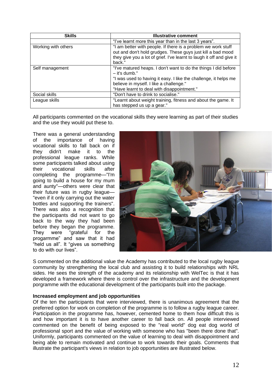| <b>Skills</b>       | <b>Illustrative comment</b>                                                                                                                                                                                                                   |
|---------------------|-----------------------------------------------------------------------------------------------------------------------------------------------------------------------------------------------------------------------------------------------|
|                     | "I've learnt more this year than in the last 3 years".                                                                                                                                                                                        |
| Working with others | "I am better with people. If there is a problem we work stuff<br>out and don't hold grudges. These guys just kill a bad mood<br>they give you a lot of grief. I've learnt to laugh it off and give it<br>back."                               |
| Self management     | "I've matured heaps. I don't want to do the things I did before<br>- it's dumb."<br>"I was used to having it easy. I like the challenge, it helps me<br>believe in myself. I like a challenge."<br>"Have learnt to deal with disappointment." |
| Social skills       | "Don't have to drink to socialise."                                                                                                                                                                                                           |
| League skills       | "Learnt about weight training, fitness and about the game. It<br>has stepped us up a gear."                                                                                                                                                   |

All participants commented on the vocational skills they were learning as part of their studies and the use they would put these to.

There was a general understanding of the importance of having vocational skills to fall back on if they didn't make it to the professional league ranks. While some participants talked about using their vocational skills after completing the programme—"I'm going to build a house for my mum and aunty"—others were clear that their future was in rugby league— "even if it only carrying out the water bottles and supporting the trainers". There was also a recognition that the participants did not want to go back to the way they had been before they began the programme. They were "grateful for the progarmme" and saw that it had "held us all". It "gives us something to do with our lives".



S commented on the additional value the Academy has contributed to the local rugby league community by strengthening the local club and assisting it to build relationships with NRL sides. He sees the strength of the academy and its relationship with WelTec is that it has developed a framework where there is control over the infrastructure and the development porgramme with the educational development of the participants built into the package.

#### **Increased employment and job opportunities**

Of the ten the participants that were interviewed, there is unanimous agreement that the preferred option for work on completion of the programme is to follow a rugby league career. Participation in the programme has, however, cemented home to them how difficult this is and how important it is to have another career to fall back on. All people interviewed commented on the benefit of being exposed to the "real world" dog eat dog world of professional sport and the value of working with someone who has "been there done that". Uniformly, participants commented on the value of learning to deal with disappointment and being able to remain motivated and continue to work towards their goals. Comments that illustrate the participant's views in relation to job opportunities are illustrated below.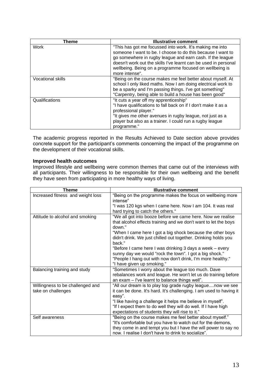| Theme                    | <b>Illustrative comment</b>                                                                                                                                                                                                                                                                                                          |
|--------------------------|--------------------------------------------------------------------------------------------------------------------------------------------------------------------------------------------------------------------------------------------------------------------------------------------------------------------------------------|
| Work                     | "This has got me focussed into work. It's making me into<br>someone I want to be. I choose to do this because I want to<br>go somewhere in rugby league and earn cash. If the league<br>doesn't work out the skills I've learnt can be used in personal<br>wellbeing. Being on a programme focused on wellbeing is<br>more intense". |
| <b>Vocational skills</b> | "Being on the course makes me feel better about myself. At<br>school I only liked maths. Now I am doing electrical work to<br>be a sparky and I'm passing things. I've got something"<br>"Carpentry, being able to build a house has been good"                                                                                      |
| Qualifications           | "It cuts a year off my apprenticeship"<br>"I have qualifications to fall back on if I don't make it as a<br>professional player."<br>"It gives me other avenues in rugby league, not just as a<br>player but also as a trainer. I could run a rugby league<br>programme."                                                            |

The academic progress reported in the Results Achieved to Date section above provides concrete support for the participant's comments concerning the impact of the programme on the development of their vocational skills.

#### **Improved health outcomes**

Improved lifestyle and wellbeing were common themes that came out of the interviews with all participants. Their willingness to be responsible for their own wellbeing and the benefit they have seen from participating in more healthy ways of living.

| <b>Theme</b>                                           | <b>Illustrative comment</b>                                                                                                                                                                                                                                                                                                    |
|--------------------------------------------------------|--------------------------------------------------------------------------------------------------------------------------------------------------------------------------------------------------------------------------------------------------------------------------------------------------------------------------------|
| Increased fitness and weight loss                      | "Being on the programme makes the focus on wellbeing more<br>intense"                                                                                                                                                                                                                                                          |
|                                                        | "I was 120 kgs when I came here. Now I am 104. It was real<br>hard trying to catch the others."                                                                                                                                                                                                                                |
| Attitude to alcohol and smoking                        | "We all got into booze before we came here. Now we realise<br>that alcohol effects training and we don't want to let the boys<br>down."                                                                                                                                                                                        |
|                                                        | "When I came here I got a big shock because the other boys<br>didn't drink. We just chilled out together. Drinking holds you<br>back."                                                                                                                                                                                         |
|                                                        | "Before I came here I was drinking 3 days a week - every<br>sunny day we would "rock the town". I got a big shock."<br>"People I hang out with now don't drink, I'm more healthy."<br>"I have given up smoking."                                                                                                               |
| Balancing training and study                           | "Sometimes I worry about the league too much. Dave<br>rebalances work and league. He won't let us do training before<br>an exam - I've learnt to balance things well".                                                                                                                                                         |
| Willingness to be challenged and<br>take on challenges | "All our dream is to play top grade rugby leaguenow we see<br>it can be done. It's hard. It's challenging. I am used to having it<br>easy".<br>"I like having a challenge it helps me believe in myself".<br>"If I expect them to do well they will do well. If I have high<br>expectations of students they will rise to it." |
| Self awareness                                         | "Being on the course makes me feel better about myself."<br>"It's comfortable but you have to watch out for the demons,<br>they come in and tempt you but I have the will power to say no<br>now. I realise I don't have to drink to socialize".                                                                               |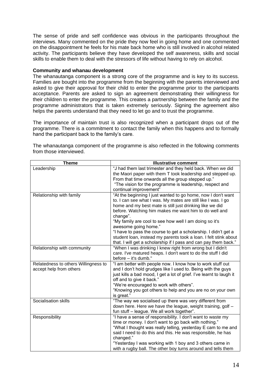The sense of pride and self confidence was obvious in the participants throughout the interviews. Many commented on the pride they now feel in going home and one commented on the disappointment he feels for his mate back home who is still involved in alcohol related activity. The participants believe they have developed the self awareness, skills and social skills to enable them to deal with the stressors of life without having to rely on alcohol.

#### **Community and whanau development**

The whanautanga component is a strong core of the programme and is key to its success. Families are bought into the programme from the beginning with the parents interviewed and asked to give their approval for their child to enter the programme prior to the participants acceptance. Parents are asked to sign an agreement demonstrating their willingness for their children to enter the programme. This creates a partnership between the family and the programme administrators that is taken extremely seriously. Signing the agreement also helps the parents understand that they need to let go and to trust the programme.

The importance of maintain trust is also recognized when a participant drops out of the programme. There is a commitment to contact the family when this happens and to formally hand the participant back to the family's care.

| <b>Theme</b>                         | <b>Illustrative comment</b>                                                                                               |
|--------------------------------------|---------------------------------------------------------------------------------------------------------------------------|
| Leadership                           | "J had them last trimester and they held back. When we did<br>the Maori paper with them T took leadership and stepped up. |
|                                      | From that time onwards all the group stepped up."                                                                         |
|                                      | "The vision for the programme is leadership, respect and                                                                  |
|                                      | continual improvement"                                                                                                    |
| Relationship with family             | "At the beginning I just wanted to go home, now I don't want                                                              |
|                                      | to. I can see what I was. My mates are still like I was. I go                                                             |
|                                      | home and my best mate is still just drinking like we did                                                                  |
|                                      | before. Watching him makes me want him to do well and                                                                     |
|                                      | change".                                                                                                                  |
|                                      | "My family are cool to see how well I am doing so it's                                                                    |
|                                      | awesome going home."                                                                                                      |
|                                      | "I have to pass the course to get a scholarship. I didn't get a                                                           |
|                                      | student loan, instead my parents took a loan. I felt stink about                                                          |
|                                      | that. I will get a scholarship if I pass and can pay them back."                                                          |
| Relationship with community          | "When I was drinking I knew right from wrong but I didn't                                                                 |
|                                      | care. I've matured heaps. I don't want to do the stuff I did                                                              |
|                                      | before - it's dumb."                                                                                                      |
| Relatedness to others Willingness to | "I am better with people now. I know how to work stuff out                                                                |
| accept help from others              | and I don't hold grudges like I used to. Being with the guys                                                              |
|                                      | just kills a bad mood, I get a lot of grief. I've learnt to laugh it                                                      |
|                                      | off and to give it back."                                                                                                 |
|                                      | "We're encouraged to work with others".                                                                                   |
|                                      | "Knowing you got others to help and you are no on your own                                                                |
| Socialisation skills                 | is great."                                                                                                                |
|                                      | "The way we socialised up there was very different from<br>down here. Here we have the league, weight training, golf -    |
|                                      | fun stuff - league. We all work together".                                                                                |
| Responsibility                       | "I have a sense of responsibility. I don't want to waste my                                                               |
|                                      | time or money. I don't want to go back with nothing."                                                                     |
|                                      | "What I thought was really telling, yesterday E cam to me and                                                             |
|                                      | said I need to do this and this. He was responsible, he has                                                               |
|                                      | changed."                                                                                                                 |
|                                      | "Yesterday I was working with 1 boy and 3 others came in                                                                  |
|                                      | with a rugby ball. The other boy turns around and tells them                                                              |

The whanautanga component of the programme is also reflected in the following comments from those interviewed.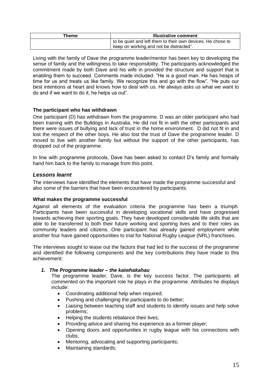| Theme | <b>Illustrative comment</b>                                 |
|-------|-------------------------------------------------------------|
|       | to be quiet and left them to their own devices. He chose to |
|       | keep on working and not be distracted".                     |

Living with the family of Dave the programme leader/mentor has been key to developing the sense of family and the willingness to take responsibility. The participants acknowledged the commitment made by both Dave and his wife in provided the structure and support that is enabling them to succeed. Comments made included: "He is a good man. He has heaps of time for us and treats us like family. We recognize this and go with the flow". "He puts our best intentions at heart and knows how to deal with us. He always asks us what we want to do and if we want to do it, he helps us out".

#### <span id="page-14-0"></span>**The participant who has withdrawn**

One participant (D) has withdrawn from the programme. D was an older participant who had been training with the Bulldogs in Australia. He did not fit in with the other participants and there were issues of bullying and lack of trust in the home environment. D did not fit in and lost the respect of the other boys. He also lost the trust of Dave the programme leader. D moved to live with another family but without the support of the other participants, has dropped out of the programme.

In line with programme protocols, Dave has been asked to contact D's family and formally hand him back to the family to manage from this point.

#### <span id="page-14-1"></span>*Lessons learnt*

The interviews have identified the elements that have made the programme successful and also some of the barriers that have been encountered by participants.

#### <span id="page-14-2"></span>**What makes the programme successful**

Against all elements of the evaluation criteria the programme has been a triumph. Participants have been successful in developing vocational skills and have progressed towards achieving their sporting goals. They have developed considerable life skills that are able to be transferred to both their future working and sporting lives and to their roles as community leaders and citizens. One participant has already gained employment while another four have gained opportunities to trial for National Rugby League (NRL) franchises.

The interviews sought to tease out the factors that had led to the success of the programme and identified the following components and the key contributions they have made to this achievement:

#### *1. The Programme leader – the kaiwhakahau*

The programme leader, Dave, is the key success factor. The participants all commented on the important role he plays in the programme. Attributes he displays include:

- Coordinating additional help when required:
- Pushing and challenging the participants to do better;
- Liaising between teaching staff and students to identify issues and help solve problems;
- Helping the students rebalance their lives;
- Providing advice and sharing his experience as a former player;
- Opening doors and opportunities in rugby league with his connections with clubs;
- Mentoring, advocating and supporting participants;
- Maintaining standards;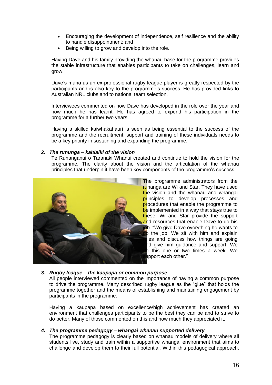- Encouraging the development of independence, self resilience and the ability to handle disappointment; and
- Being willing to grow and develop into the role.

Having Dave and his family providing the whanau base for the programme provides the stable infrastructure that enables participants to take on challenges, learn and grow.

Dave's mana as an ex-professional rugby league player is greatly respected by the participants and is also key to the programme's success. He has provided links to Australian NRL clubs and to national team selection.

Interviewees commented on how Dave has developed in the role over the year and how much he has learnt. He has agreed to expend his participation in the programme for a further two years.

Having a skilled kaiwhakahauri is seen as being essential to the success of the programme and the recruitment, support and training of these individuals needs to be a key priority in sustaining and expanding the programme.

#### *2. The rununga – kaitiaiki of the vision*

Te Runanganui o Taranaki Whanui created and continue to hold the vision for the programme. The clarity about the vision and the articulation of the whanau principles that underpin it have been key components of the programme's success.



The programme administrators from the runanga are Wi and Star. They have used the vision and the whanau and whangai principles to develop processes and procedures that enable the programme to be implemented in a way that stays true to these. Wi and Star provide the support and resources that enable Dave to do his job. "We give Dave everything he wants to  $\mathbf b$  the job. We sit with him and explain les and discuss how things are going hd give him guidance and support. We b this one or two times a week. We upport each other."

#### *3. Rugby league – the kaupapa or common purpose*

All people interviewed commented on the importance of having a common purpose to drive the programme. Many described rugby league as the "glue" that holds the programme together and the means of establishing and maintaining engagement by participants in the programme.

Having a kaupapa based on excellence/high achievement has created an environment that challenges participants to be the best they can be and to strive to do better. Many of those commented on this and how much they appreciated it.

#### *4. The programme pedagogy – whangai whanau supported delivery*

The programme pedagogy is clearly based on whanau models of delivery where all students live, study and train within a supportive whangai environment that aims to challenge and develop them to their full potential. Within this pedagogical approach,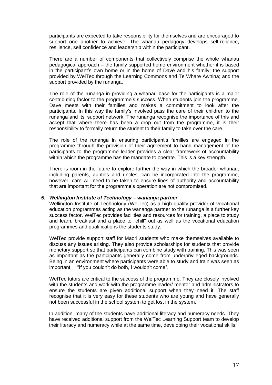participants are expected to take responsibility for themselves and are encouraged to support one another to achieve. The whanau pedagogy develops self-reliance, resilience, self confidence and leadership within the participant.

There are a number of components that collectively comprise the whole whanau pedagogical approach – the family supported home environment whether it is based in the participant's own home or in the home of Dave and his family; the support provided by WelTec through the Learning Commons and Te Whare Awhina; and the support provided by the runanga.

The role of the runanga in providing a whanau base for the participants is a major contributing factor to the programme's success. When students join the programme, Dave meets with their families and makes a commitment to look after the participants. In this way the family's involved pass the care of their children to the runanga and its' support network. The runanga recognise the importance of this and accept that where there has been a drop out from the programme, it is their responsibility to formally return the student to their family to take over the care.

The role of the runanga in ensuring participant's families are engaged in the programme through the provision of their agreement to hand management of the participants to the programme leader provides a clear framework of accountability within which the programme has the mandate to operate. This is a key strength.

There is room in the future to explore further the way in which the broader whanau, including parents, aunties and uncles, can be incorporated into the programme, however, care will need to be taken to ensure lines of authority and accountability that are important for the programme's operation are not compromised.

#### *5. Wellington Institute of Technology – wananga partner*

Wellington Institute of Technology (WelTec) as a high quality provider of vocational education programmes acting as the wananga partner to the runanga is a further key success factor. WelTec provides facilities and resources for training, a place to study and learn, breakfast and a place to "chill" out as well as the vocational education programmes and qualifications the students study.

WelTec provide support staff for Maori students who make themselves available to discuss any issues arising. They also provide scholarships for students that provide monetary support so that participants can combine study with training. This was seen as important as the participants generally come from underprivileged backgrounds. Being in an environment where participants were able to study and train was seen as important, "If you couldn't do both, I wouldn't come".

WelTec tutors are critical to the success of the programme. They are closely involved with the students and work with the programme leader/ mentor and administrators to ensure the students are given additional support when they need it. The staff recognise that it is very easy for these students who are young and have generally not been successful in the school system to get lost in the system.

In addition, many of the students have additional literacy and numeracy needs. They have received additional support from the WelTec Learning Support team to develop their literacy and numeracy while at the same time, developing their vocational skills.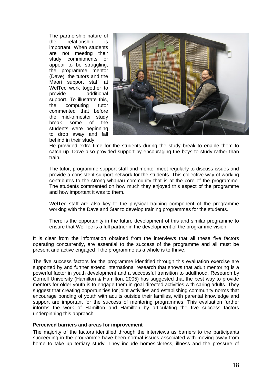The partnership nature of the relationship is important. When students are not meeting their study commitments or appear to be struggling, the programme mentor (Dave), the tutors and the Maori support staff at WelTec work together to provide additional support. To illustrate this, the computing tutor commented that before the mid-trimester study break some of the students were beginning to drop away and fall behind in their study.



He provided extra time for the students during the study break to enable them to catch up. Dave also provided support by encouraging the boys to study rather than train.

The tutor, programme support staff and mentor meet regularly to discuss issues and provide a consistent support network for the students. This collective way of working contributes to the strong whanau community that is at the core of the programme. The students commented on how much they enjoyed this aspect of the programme and how important it was to them.

WelTec staff are also key to the physical training component of the programme working with the Dave and Star to develop training programmes for the students.

There is the opportunity in the future development of this and similar programme to ensure that WelTec is a full partner in the development of the programme vision.

It is clear from the information obtained from the interviews that all these five factors operating concurrently, are essential to the success of the programme and all must be present and active engaged if the programme as a whole is to thrive.

The five success factors for the programme identified through this evaluation exercise are supported by and further extend international research that shows that adult mentoring is a powerful factor in youth development and a successful transition to adulthood. Research by Cornell University (Hamilton & Hamilton, 2005) has suggested that the best way to provide mentors for older youth is to engage them in goal-directed activities with caring adults. They suggest that creating opportunities for joint activities and establishing community norms that encourage bonding of youth with adults outside their families, with parental knowledge and support are important for the success of mentoring programmes. This evaluation further informs the work of Hamilton and Hamilton by articulating the five success factors underpinning this approach.

#### <span id="page-17-0"></span>**Perceived barriers and areas for improvement**

The majority of the factors identified through the interviews as barriers to the participants succeeding in the programme have been normal issues associated with moving away from home to take up tertiary study. They include homesickness, illness and the pressure of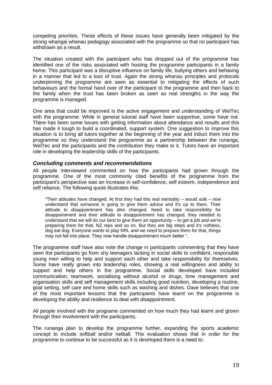competing priorities. These effects of these issues have generally been mitigated by the strong whangai whanau pedagogy associated with the programme so that no participant has withdrawn as a result.

The situation created with the participant who has dropped out of the programme has identified one of the risks associated with hosting the programme participants in a family home. This participant was a disruptive influence on family life, bullying others and behaving in a manner that led to a loss of trust. Again the strong whanau principles and protocols underpinning the programme are seen as essential to mitigating the effects of such behaviours and the formal hand over of the participant to the programme and then back to the family when the trust has been broken as seen as real strengths in the way the programme is managed.

One area that could be improved is the active engagement and understanding of WelTec with the programme. While in general tutorial staff have been supportive, some have not. There has been some issues with getting information about attendance and results and this has made it tough to build a coordinated, support system. One suggestion to improve this situation is to bring all tutors together at the beginning of the year and induct them into the programme so they understand the programme as a partnership between the runanga, WelTec and the participants and the contribution they make to it. Tutors have an important role in developing the leadership skills of the participants.

#### <span id="page-18-0"></span>*Concluding comments and recommendations*

All people interviewed commented on how the participants had grown through the programme. One of the most commonly cited benefits of the programme from the participant's perspective was an increase in self-confidence, self esteem, independence and self reliance. The following quote illustrates this:

"Their attitudes have changed. At first they had this real mentality – would sulk – now understand that someone is going to give them advice and it's up to them. Their attitude to disappointment has also changed. Need to take responsibility for disappointment and their attitude to disappointment has changed, they needed to understand that we will do our best to give them an opportunity – to get a job and we're preparing them for that, NZ reps and so on. But they are big steps and it's ruthless, dog eat dog. Everyone wants to play NRL and we need to prepare them for that, things may not fall into place. They now handle disappointment much better ".

The programme staff have also note the change in participants commenting that they have seen the participants go from shy teenagers lacking in social skills to confident, responsible young men willing to help and support each other and take responsibility for themselves. Some have really grown into leadership roles, showing a real willingness and ability to support and help others in the programme. Social skills developed have included communication, teamwork, socialising without alcohol or drugs, time management and organisation skills and self management skills including good nutrition, developing a routine, goal setting, self care and home skills such as washing and dishes. Dave believes that one of the most important lessons that the participants have learnt on the programme is developing the ability and resilience to deal with disappointment.

All people involved with the programe commented on how much they had learnt and grown through their involvement with the participants.

The runanga plan to develop the programme further, expanding the sports academic concept to include softball and/or netball. This evaluation shows that in order for the programme to continue to be successful as it is developed there is a need to: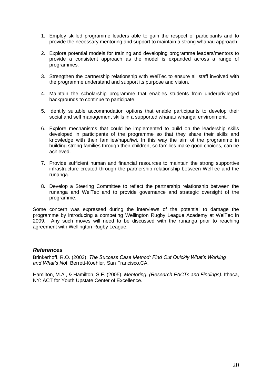- 1. Employ skilled programme leaders able to gain the respect of participants and to provide the necessary mentoring and support to maintain a strong whanau approach
- 2. Explore potential models for training and developing programme leaders/mentors to provide a consistent approach as the model is expanded across a range of programmes.
- 3. Strengthen the partnership relationship with WelTec to ensure all staff involved with the programme understand and support its purpose and vision.
- 4. Maintain the scholarship programme that enables students from underprivileged backgrounds to continue to participate.
- 5. Identify suitable accommodation options that enable participants to develop their social and self management skills in a supported whanau whangai environment.
- 6. Explore mechanisms that could be implemented to build on the leadership skills developed in participants of the programme so that they share their skills and knowledge with their families/hapu/iwi. In this way the aim of the programme in building strong families through their children, so families make good choices, can be achieved.
- 7. Provide sufficient human and financial resources to maintain the strong supportive infrastructure created through the partnership relationship between WelTec and the runanga.
- 8. Develop a Steering Committee to reflect the partnership relationship between the runanga and WelTec and to provide governance and strategic oversight of the programme.

Some concern was expressed during the interviews of the potential to damage the programme by introducing a competing Wellington Rugby League Academy at WelTec in 2009. Any such moves will need to be discussed with the runanga prior to reaching agreement with Wellington Rugby League.

#### <span id="page-19-0"></span>*References*

Brinkerhoff, R.O. (2003). *The Success Case Method: Find Out Quickly What's Working and What's No*t. Berrett-Koehler, San Francisco,CA.

Hamilton, M.A., & Hamilton, S.F. (2005). *Mentoring. (Research FACTs and Findings).* Ithaca, NY: ACT for Youth Upstate Center of Excellence.